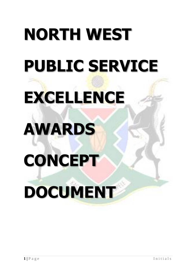# **NORTH WEST PUBLIC SERVICE EXCELLENCE AWARDS CONCEPT DOCUMENT**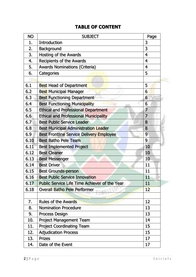# **TABLE OF CONTENT**

| NО   | <b>SUBJECT</b>                                       | Page                     |
|------|------------------------------------------------------|--------------------------|
| 1.   | <b>Introduction</b>                                  | 3                        |
| 2.   | Background                                           | 3                        |
| 3.   | Hosting of the Awards                                | 4                        |
| 4.   | Recipients of the Awards                             | 4                        |
| 5.   | <b>Awards Nominations (Criteria)</b>                 | 4                        |
| 6.   | Categories                                           | 5                        |
|      |                                                      |                          |
| 6.1  | <b>Best Head of Department</b>                       | 5                        |
| 6.2  | <b>Best Municipal Manager</b>                        | 6                        |
| 6.3  | <b>Best Functioning Department</b>                   | 6                        |
| 6.4  | <b>Best Functioning Municipality</b>                 | 6                        |
| 6.5  | <b>Ethical and Professional Department</b>           | $\overline{\mathcal{L}}$ |
| 6.6  | <b>Ethical and Professional Municipality</b>         | $\overline{\mathcal{L}}$ |
| 6.7  | <b>Best Public Service Leader</b>                    | 8                        |
| 6.8  | <b>Best Municipal Administration Leader</b>          | 8                        |
| 6.9  | 9<br><b>Best Frontline Service Delivery Employee</b> |                          |
| 6.10 | <b>Best Batho Pele Team</b>                          | 9                        |
| 6.11 | <b>Best Implemented Project</b>                      | 10                       |
| 6.12 | <b>Best Cleaner</b><br>10                            |                          |
| 6.13 | <b>Best Messenger</b>                                | 10                       |
| 6.14 | <b>Best Driver</b>                                   | 11                       |
| 6.15 | <b>Best Grounds-person</b>                           | 11                       |
| 6.16 | <b>Best Public Service Innovation</b>                | 11                       |
| 6.17 | Public Service Life Time Achiever of the Year        | 11                       |
| 6.18 | <b>Overall Batho Pele Performer</b>                  | 12                       |
|      |                                                      |                          |
| 7.   | <b>Rules of the Awards</b>                           | 12                       |
| 8.   | <b>Nomination Procedure</b>                          | 13                       |
| 9.   | <b>Process Design</b>                                | 13                       |
| 10.  | <b>Project Management Team</b>                       | 14                       |
| 11.  | <b>Project Coordinating Team</b>                     | 15                       |
| 12.  | <b>Adjudication Process</b>                          | 15                       |
| 13.  | <b>Prizes</b>                                        | 17                       |
| 14.  | Date of the Event                                    | 17                       |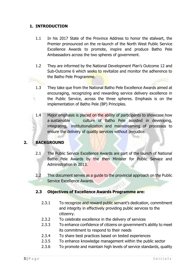### **1. INTRODUCTION**

- 1.1 In his 2017 State of the Province Address to honor the stalwart, the Premier pronounced on the re-launch of the North West Public Service Excellence Awards to promote, inspire and produce Batho Pele Ambassadors across the two spheres of government.
- 1.2 They are informed by the National Development Plan's Outcome 12 and Sub-Outcome 6 which seeks to revitalize and monitor the adherence to the Batho Pele Programme.
- 1.3 They take que from the National Batho Pele Excellence Awards aimed at encouraging, recognizing and rewarding service delivery excellence in the Public Service, across the three spheres. Emphasis is on the implementation of Batho Pele (BP) Principles.
- 1.4 Major emphasis is placed on the ability of participants to showcase how a sustainable culture of Batho Pele assisted in developing, integrating, institutionalization and mainstreaming of processes to ensure the delivery of quality services without prejudice.

### **2. BACKGROUND**

- 2.1 The Public Service Excellence Awards are part of the launch of National Batho Pele Awards by the then Minister for Public Service and Administration in 2013.
- 2.2 This document serves as a quide to the provincial approach on the Public Service Excellence Awards.

### **2.3 Objectives of Excellence Awards Programme are:**

- 2.3.1 To recognize and reward public servant's dedication, commitment and integrity in effectively providing public services to the citizenry.
- 2.3.2 To celebrate excellence in the delivery of services
- 2.3.3 To enhance confidence of citizens on government's ability to meet its commitment to respond to their needs
- 2.3.4 To share best practices based on tested experiences
- 2.3.5 To enhance knowledge management within the public sector
- 2.3.6 To promote and maintain high levels of service standards, quality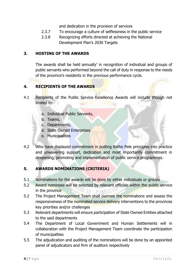and dedication in the provision of services

- 2.3.7 To encourage a culture of selflessness in the public service
- 2.3.8 Recognizing efforts directed at achieving the National Development Plan's 2030 Targets

### **3. HOSTING OF THE AWARDS**

The awards shall be held annually' in recognition of individual and groups of public servants who performed beyond the call of duty in response to the needs of the province's residents in the previous performance cycle.

# **4. RECIPIENTS OF THE AWARDS**

- 4.1 Recipients of the Public Service Excellence Awards will include though not limited to:
	- a. Individual Public Servants,
	- b. Teams,
	- c. Departments,
	- d. State Owned Enterprises
	- e. Municipalities
- 4.2 Who have displayed commitment in putting Batho Pele principles into practice and unwavering support, dedication and most importantly commitment in deepening, promoting and implementation of public service programmes.

# **5. AWARDS NOMINATIONS (CRITERIA)**

- 5.1 Nominations for the awards will be done by either individuals or groups
- 5.2 Award nominees will be selected by relevant officials within the public service in the province
- 5.2 The Project Management Team shall oversee the nominations and assess the responsiveness of the nominated service delivery interventions to the provinces key priorities and/or challenges
- 5.3 Relevant departments will ensure participation of State Owned Entities attached to the said departments
- 5.4 The Department of Local Government and Human Settlements will in collaboration with the Project Management Team coordinate the participation of municipalities
- 5.5 The adjudication and auditing of the nominations will be done by an appointed panel of adjudicators and firm of auditors respectively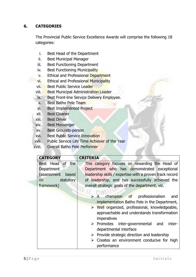# **6. CATEGORIES**

The Provincial Public Service Excellence Awards will comprise the following 18 categories:

- i. Best Head of the Department
- ii. Best Municipal Manager
- iii. Best Functioning Department
- iv. Best Functioning Municipality
- v. Ethical and Professional Department
- vi. Ethical and Professional Municipality
- vii. Best Public Service Leader
- viii. Best Municipal Administration Leader
- ix. Best Front-line Service Delivery Employee.
- x. Best Batho Pele Team
- xi. Best Implemented Project
- xii. Best Cleaner
- xiii. Best Driver
- xiv. Best Messenger
- xv. Best Grounds-person
- xvi. Best Public Service Innovation
- xvii. Public Service Life Time Achiever of the Year
- xviii. Overall Batho Pele Performer

| <b>CATEGORY</b>      | <b>CRITERIA</b>                                               |
|----------------------|---------------------------------------------------------------|
| Best Head of<br>the  | This category focuses on rewarding the Head of                |
| Department           | Department who has demonstrated exceptional                   |
| (assessment<br>based | leadership skills / expertise with a proven track record      |
| statutory<br>on      | of leadership, and has successfully achieved the              |
| framework)           | overall strategic goals of the department, viz.               |
|                      |                                                               |
|                      | champion of professionalism<br>$\mathsf{A}$<br>and            |
|                      | implementation Batho Pele in the Department,                  |
|                      | $\triangleright$ Well organized, professional, knowledgeable, |
|                      | approachable and understands transformation                   |
|                      | imperatives                                                   |
|                      | $\triangleright$ Promotes inter-governmental and<br>inter-    |
|                      | departmental interface                                        |
|                      | $\triangleright$ Provide strategic direction and leadership   |
|                      | $\triangleright$ Creates an environment conducive for high    |
|                      | performance                                                   |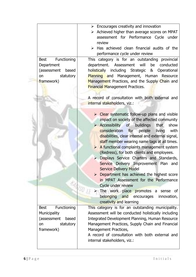|                            | $\triangleright$ Encourages creativity and innovation                                                |
|----------------------------|------------------------------------------------------------------------------------------------------|
|                            | $\triangleright$ Achieved higher than average scores on MPAT                                         |
|                            | assessment for Performance Cycle under                                                               |
|                            | review                                                                                               |
|                            | Has achieved clean financial audits of the<br>➤                                                      |
|                            | performance cycle under review                                                                       |
| Functioning<br><b>Best</b> | This category is for an outstanding provincial                                                       |
| Department                 | be<br>department. Assessment<br>will<br>conducted                                                    |
| (assessment<br>based       | holistically<br>including Strategic &<br>Operational                                                 |
| statutory<br>on            | Planning and Management, Human Resource                                                              |
| framework)                 | Management Practices, and the Supply Chain and                                                       |
|                            | <b>Financial Management Practices.</b>                                                               |
|                            |                                                                                                      |
|                            | A record of consultation with both external and                                                      |
|                            | internal stakeholders, viz.:                                                                         |
|                            |                                                                                                      |
|                            | $\triangleright$ Clear systematic follow-up plans and visible                                        |
|                            | impact on society of the affected community                                                          |
|                            | $\triangleright$ Accessibility of<br>buildings<br>that<br>show                                       |
|                            | consideration for people<br>with<br>living                                                           |
|                            | disabilities, clear internal and external signal,                                                    |
|                            | staff member wearing name tags at all times.                                                         |
|                            | $\triangleright$ A functional complaints management system                                           |
|                            | (Redress), for both clients and employees.                                                           |
|                            | Displays Service Charters and Standards,<br>$\blacktriangleright$                                    |
|                            | Service Delivery Improvement Plan and                                                                |
|                            | <b>Service Delivery Model</b>                                                                        |
|                            | $\triangleright$ Department has achieved the highest score<br>in MPAT Assessment for the Performance |
|                            | Cycle under review                                                                                   |
|                            | EARISO <sub>J</sub><br>> The work place promotes a sense of                                          |
|                            | belonging and encourages<br>innovation,                                                              |
|                            | creativity and learning                                                                              |
| Functioning<br><b>Best</b> | This category is for an outstanding municipality.                                                    |
| Municipality               | Assessment will be conducted holistically including                                                  |
| (assessment<br>based       | Integrated Development Planning, Human Resource                                                      |
| statutory<br>on            | Management Practices, Supply Chain and Financial                                                     |
| framework)                 | Management Practices,                                                                                |
|                            | A record of consultation with both external and                                                      |
|                            | internal stakeholders, viz.:                                                                         |
|                            |                                                                                                      |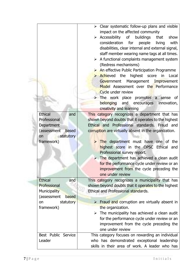|                       | $\triangleright$ Clear systematic follow-up plans and visible  |
|-----------------------|----------------------------------------------------------------|
|                       | impact on the affected community                               |
|                       | $\triangleright$ Accessibility of<br>buildings<br>show<br>that |
|                       | consideration for<br>people<br>living<br>with                  |
|                       | disabilities, clear internal and external signal,              |
|                       | staff member wearing name tags at all times.                   |
|                       | $\triangleright$ A functional complaints management system     |
|                       | (Redress mechanisms)                                           |
|                       | > An effective Public Participation Programme                  |
|                       | $\triangleright$ Achieved the<br>highest score<br>in<br>Local  |
|                       | Government Management Improvement                              |
|                       | Model Assessment over the Performance                          |
|                       | Cycle under review                                             |
|                       | The work place promotes a sense of                             |
|                       | belonging<br>and encourages<br>innovation,                     |
|                       | creativity and learning                                        |
| <b>Ethical</b><br>and | This category recognizes a department that has                 |
| Professional          | shown beyond doubts that it operates to the highest            |
| Department            | Ethical and Professional standards. Fraud and                  |
| (assessment<br>based  | corruption are virtually absent in the organization.           |
| statutory<br>on       |                                                                |
| framework)            | $\triangleright$ The department must have one of the           |
|                       | highest score in the OPSC Ethical and                          |
|                       | Professional survey report.                                    |
|                       | $\triangleright$ The department has achieved a clean audit     |
|                       | for the performance cycle under review or an                   |
|                       | improvement from the cycle preceding the                       |
|                       | one under review                                               |
| <b>Ethical</b><br>and | This category recognizes a municipality that has               |
| Professional          | shown beyond doubts that it operates to the highest            |
| Municipality          | Ethical and Professional standards.                            |
| (assessment<br>based  |                                                                |
| statutory<br>on       | $\triangleright$ Fraud and corruption are virtually absent in  |
| framework)            | the organization.                                              |
|                       | $\triangleright$ The municipality has achieved a clean audit   |
|                       | for the performance cycle under review or an                   |
|                       | improvement from the cycle preceding the                       |
|                       | one under review                                               |
| Best Public Service   | This category focuses on rewarding an individual               |
| Leader                | who has demonstrated exceptional leadership                    |
|                       | skills in their area of work. A leader who has                 |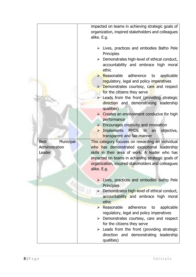|                          | impacted on teams in achieving strategic goals of<br>organization, inspired stakeholders and colleagues<br>alike. E.g.                                                                                                                                                                                                                                                                                                                                                                                                                                                                                                                                                                                                                          |
|--------------------------|-------------------------------------------------------------------------------------------------------------------------------------------------------------------------------------------------------------------------------------------------------------------------------------------------------------------------------------------------------------------------------------------------------------------------------------------------------------------------------------------------------------------------------------------------------------------------------------------------------------------------------------------------------------------------------------------------------------------------------------------------|
|                          | $\triangleright$ Lives, practices and embodies Batho Pele<br>Principles<br>Demonstrates high-level of ethical conduct,<br>➤<br>accountability and embrace high moral<br>ethic<br>$\triangleright$ Reasonable adherence<br>to<br>applicable<br>regulatory, legal and policy imperatives<br><b>Demonstrates courtesy, care and respect</b><br>for the citizens they serve<br>$\triangleright$ Leads from the front (providing strategic<br>direction and demonstrating leadership<br>qualities)<br>$\triangleright$ Creates an environment conducive for high<br>performance<br>$\triangleright$ Encourages creativity and innovation<br><b>Implements</b><br>PMDS in<br>objective,<br>$\blacktriangleright$<br>an<br>transparent and fair manner |
| <b>Best</b><br>Municipal | This category focuses on rewarding an individual                                                                                                                                                                                                                                                                                                                                                                                                                                                                                                                                                                                                                                                                                                |
| Administration<br>Leader | who has demonstrated exceptional leadership<br>skills in their area of work. A leader who has<br>impacted on teams in achieving strategic goals of<br>organization, inspired stakeholders and colleagues<br>alike. E.g.                                                                                                                                                                                                                                                                                                                                                                                                                                                                                                                         |
|                          | $\triangleright$ Lives, practices and embodies Batho Pele<br>Principles                                                                                                                                                                                                                                                                                                                                                                                                                                                                                                                                                                                                                                                                         |
|                          | <b>EAGISD LE</b><br>Demonstrates high-level of ethical conduct,<br>accountability and embrace high moral<br>ethic                                                                                                                                                                                                                                                                                                                                                                                                                                                                                                                                                                                                                               |
|                          | $\triangleright$ Reasonable<br>adherence<br>applicable<br>to<br>regulatory, legal and policy imperatives                                                                                                                                                                                                                                                                                                                                                                                                                                                                                                                                                                                                                                        |
|                          | $\triangleright$ Demonstrates courtesy, care and respect<br>for the citizens they serve                                                                                                                                                                                                                                                                                                                                                                                                                                                                                                                                                                                                                                                         |
|                          | $\triangleright$ Leads from the front (providing strategic<br>direction and demonstrating leadership<br>qualities)                                                                                                                                                                                                                                                                                                                                                                                                                                                                                                                                                                                                                              |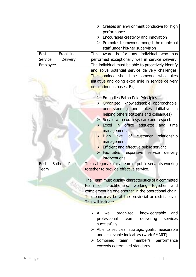|                                     | $\triangleright$ Creates an environment conducive for high                                              |
|-------------------------------------|---------------------------------------------------------------------------------------------------------|
|                                     | performance                                                                                             |
|                                     | $\triangleright$ Encourages creativity and innovation                                                   |
|                                     | $\triangleright$ Promotes teamwork amongst the municipal                                                |
|                                     | staff under his/her supervision                                                                         |
| Front-line<br><b>Best</b>           | award is for any individual who has<br>This                                                             |
| Delivery<br>Service                 | performed exceptionally well in service delivery.                                                       |
| Employee                            | The individual must be able to proactively identify<br>and solve potential service delivery challenges. |
|                                     | The nominee should be someone who takes                                                                 |
|                                     | initiative and going extra mile in service delivery                                                     |
|                                     | on continuous bases. E.g.                                                                               |
|                                     |                                                                                                         |
|                                     | $\triangleright$ Embodies Batho Pele Principles                                                         |
|                                     | Organized, knowledgeable approachable,<br>$\blacktriangleright$                                         |
|                                     | understanding and takes initiative<br>in                                                                |
|                                     | helping others (citizens and colleagues)                                                                |
|                                     | $\triangleright$ Serves with courtesy, care and respect.                                                |
|                                     | > Excel in office etiquette<br>and<br>time                                                              |
|                                     | management.                                                                                             |
|                                     | > High level of customer<br>relationship                                                                |
|                                     | management                                                                                              |
|                                     | $\triangleright$ Efficient and effective public servant                                                 |
|                                     | Facilitates responsive<br>service<br>delivery<br>$\blacktriangleright$                                  |
|                                     | interventions                                                                                           |
| <b>Batho</b><br>Pele<br><b>Best</b> | This category is for a team of public servants working                                                  |
| Team                                | together to provide effective service.                                                                  |
|                                     |                                                                                                         |
|                                     | The Team must display characteristics of a committed                                                    |
|                                     | team of practitioners, working together<br>and                                                          |
|                                     | complementing one another in the operational chain.                                                     |
|                                     | The team may be at the provincial or district level.                                                    |
|                                     | This will include:                                                                                      |
|                                     |                                                                                                         |
|                                     | organized,<br>knowledgeable<br>$\triangleright$ A well<br>and                                           |
|                                     | professional<br>delivering<br>team<br>services                                                          |
|                                     | successfully.                                                                                           |
|                                     | $\triangleright$ Able to set clear strategic goals, measurable                                          |
|                                     | and achievable indicators (work SMART).                                                                 |
|                                     |                                                                                                         |
|                                     | $\triangleright$ Combined team<br>member's performance                                                  |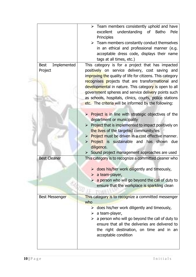| Implemented<br><b>Best</b><br>Project | $\triangleright$ Team members consistently uphold and have<br>excellent<br>understanding<br>of<br><b>Batho</b><br>Pele<br>Principles<br>$\triangleright$ Team members constantly conduct themselves<br>in an ethical and professional manner (e.g.<br>acceptable dress code, displays their name<br>tags at all times, etc.)<br>This category is for a project that has impacted<br>positively on service delivery, cost saving and<br>improving the quality of life for citizens. This category<br>recognises projects that are transformational and<br>developmental in nature. This category is open to all |
|---------------------------------------|----------------------------------------------------------------------------------------------------------------------------------------------------------------------------------------------------------------------------------------------------------------------------------------------------------------------------------------------------------------------------------------------------------------------------------------------------------------------------------------------------------------------------------------------------------------------------------------------------------------|
|                                       | government spheres and service delivery points such<br>as schools, hospitals, clinics, courts, police stations<br>etc. The criteria will be informed by the following:                                                                                                                                                                                                                                                                                                                                                                                                                                         |
|                                       | $\triangleright$ Project is in line with strategic objectives of the<br>department or municipality<br>$\triangleright$ Project that is implemented to impact positively on<br>the lives of the targeted community/ies<br>> Project must be driven in a cost effective manner.<br>> Project is sustainable and has shown<br>due<br>diligence.<br>> Sound project management approaches are used                                                                                                                                                                                                                 |
| <b>Best Cleaner</b>                   | This category is to recognize a committed cleaner who<br>$\triangleright$ does his/her work diligently and timeously,<br>$\triangleright$ a team-player,<br>$\triangleright$ a person who will go beyond the call of duty to<br>ensure that the workplace is sparkling clean                                                                                                                                                                                                                                                                                                                                   |
| <b>Best Messenger</b>                 | This category is to recognize a committed messenger<br>who<br>$\triangleright$ does his/her work diligently and timeously,<br>$\triangleright$ a team-player,<br>$\triangleright$ a person who will go beyond the call of duty to<br>ensure that all the deliveries are delivered to<br>the right destination, on time and in an<br>acceptable condition                                                                                                                                                                                                                                                       |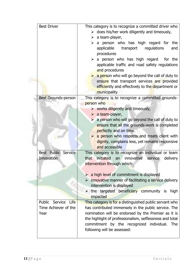| <b>Best Driver</b>                                  | This category is to recognize a committed driver who<br>$\triangleright$ does his/her work diligently and timeously,<br>$\triangleright$ a team-player,<br>a person who has high regard for the<br>➤<br>applicable<br>transport<br>regulations<br>and<br>procedures<br>$\triangleright$ a person who has high regard for the<br>applicable traffic and road safety regulations<br>and procedures<br>$\triangleright$ a person who will go beyond the call of duty to<br>ensure that transport services are provided<br>efficiently and effectively to the department or |
|-----------------------------------------------------|-------------------------------------------------------------------------------------------------------------------------------------------------------------------------------------------------------------------------------------------------------------------------------------------------------------------------------------------------------------------------------------------------------------------------------------------------------------------------------------------------------------------------------------------------------------------------|
| Best Grounds-person                                 | municipality<br>This category is to recognize a committed grounds-<br>person who<br>$\triangleright$ works diligently and timeously,<br>$\triangleright$ a team-player,<br>$\triangleright$ a person who will go beyond the call of duty to<br>ensure that all the grounds-work is completed<br>perfectly and on time.<br>$\triangleright$ a person who respects and treats client with<br>dignity, complains less, yet remains responsive<br>and accessible                                                                                                            |
| Best Public<br>Service<br>Innovation                | This category is to recognize an individual or team<br>innovative<br>initiated<br>that<br>service<br>delivery<br>an<br>intervention through which:<br>$\triangleright$ a high level of commitment is displayed<br>innovative manner of facilitating a service delivery<br>intervention is displayed<br>the targeted beneficiary community is high<br>$\blacktriangleright$<br>impacted                                                                                                                                                                                  |
| Public Service Life<br>Time Achiever of the<br>Year | This category is for a distinguished public servant who<br>has contributed immensely in the public service. The<br>nomination will be endorsed by the Premier as it is<br>the highlight of professionalism, selflessness and total<br>commitment by the recognized individual. The<br>following will be assessed:                                                                                                                                                                                                                                                       |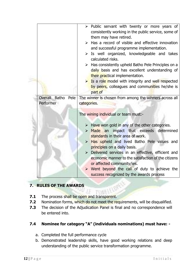|                                 | $\triangleright$ Public servant with twenty or more years of<br>consistently working in the public service, some of<br>them may have retired.<br>$\triangleright$ Has a record of visible and effective innovation<br>and successful programme implementation.<br>$\triangleright$ Is well organized, knowledgeable and takes<br>calculated risks.<br>$\triangleright$ Has consistently upheld Batho Pele Principles on a<br>daily basis and has excellent understanding of<br>their practical implementation.<br>$\triangleright$ Is a role model with integrity and well respected<br>by peers, colleagues and communities he/she is<br>part of |
|---------------------------------|---------------------------------------------------------------------------------------------------------------------------------------------------------------------------------------------------------------------------------------------------------------------------------------------------------------------------------------------------------------------------------------------------------------------------------------------------------------------------------------------------------------------------------------------------------------------------------------------------------------------------------------------------|
| Overall Batho Pele<br>Performer | The winner is chosen from among the winners across all<br>categories.<br>The wining individual or team must:-<br>$\triangleright$ Have won gold in any of the other categories.<br>> Made an impact that exceeds determined<br>standards in their area of work.                                                                                                                                                                                                                                                                                                                                                                                   |
|                                 | > Has upheld and lived Batho Pele values and<br>principles on a daily basis.<br>> Delivered services in an effective, efficient and<br>economic manner to the satisfaction of the citizens<br>or affected community/ies.<br>> Went beyond the call of duty to achieve the<br>success recognized by the awards process                                                                                                                                                                                                                                                                                                                             |

# **7. RULES OF THE AWARDS**

- **7.1** The process shall be open and transparent.
- **7.2** Nomination forms, which do not meet the requirements, will be disqualified.
- **7.3** The decision of the Adjudication Panel is final and no correspondence will be entered into.

### **7.4 Nominee for category "A" (individuals nominations) must have: -**

- a. Completed the full performance cycle
- b. Demonstrated leadership skills, have good working relations and deep understanding of the public service transformation programme.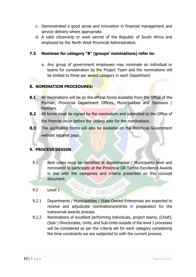- c. Demonstrated a good sense and innovation in financial management and service delivery where appropriate.
- d. A valid citizenship or work permit of the Republic of South Africa and employed by the North West Provincial Administration.

### **7.5 Nominee for category "B" (groups' nominations) refer to:**

a. Any group of government employees may nominate an individual or teams for consideration by the Project Team and the nominations will be limited to three per award category in each Department

### **8. NOMINATION PROCEDURES:**

- **8.1** All nominations will be on the official forms available from the Office of the Premier, Provincial Department Offices, Municipalities and Sponsors / Partners.
- **8.2** All forms must be signed by the nominators and submitted to the Office of the Premier on/or before the closing date for the nominations.
- **8.3** The application forms will also be available on the Provincial Government website intranet page.

### **9. PROCESS DESIGN**

- 9.1 Best cases must be identified at departmental / Municipality level and nominated to participate at the Provincial OR Tambo Excellence Awards in line with the categories and criteria presented on this concept document.
- 9.2 Level 1
- 9.2.1 Departments / Municipalities / State Owned Enterprises are expected to receive and adjudicate nominations/entries in preparation for the transversal awards process

**RSD IF TSVIELELOPE** 

9.2.2 Nominations of excellent performing individuals, project teams, (Chief), (Sub-) Directorates, Units, and Sub-Units outside of the level 1 processes will be considered as per the criteria set for each category considering the time constraints we are subjected to with the current process.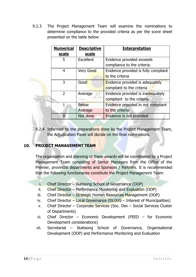9.2.3 The Project Management Team will examine the nominations to determine compliance to the provided criteria as per the score sheet presented on the table below:

| <b>Numerical</b> | <b>Descriptive</b> | <b>Interpretation</b>                  |
|------------------|--------------------|----------------------------------------|
| <b>scale</b>     | scale              |                                        |
| 5                | Excellent          | Evidence provided exceeds              |
|                  |                    | compliance to the criteria.            |
| 4                | Very Good          | Evidence provided is fully compliant   |
|                  |                    | to the criteria                        |
| 3                | Good               | <b>Evidence provided is adequately</b> |
|                  |                    | compliant to the criteria              |
| $\mathcal{P}$    | Average            | Evidence provided is inadequately      |
|                  |                    | compliant to the criteria              |
|                  | <b>Below</b>       | Evidence provided in not compliant     |
|                  | Average            | to the criteria                        |
|                  | Not done           | Evidence is not provided               |

9.2.4 Informed by the preparations done by the Project Management Team, the Adjudication Panel will decide on the final nominations.

### **10. PROJECT MANAGEMENT TEAM**

The organization and planning of these awards will be coordinated by a Project Management Team consisting of Senior Managers from the Office of the Premier, provincial departments and Sponsors / Partners. It is recommended that the following functionaries constitute the Project Management Team:

- i. Chief Director Ikatisong School of Governance (OOP)
- ii. Chief Director Performance Monitoring and Evaluation (OOP)
- iii. Chief Director Strategic Human Resources Management (OOP)
- iv. Chief Director Local Governance (DLGHS Interest of Municipalities)
- v. Chief Director Corporate Services (Soc. Dev Social Services Cluster of Departments)
- vi. Chief Director Economic Development (FEED for Economic Development considerations)
- vii. Secretariat Ikatisong School of Governance, Organisational Development (OOP) and Performance Monitoring and Evaluation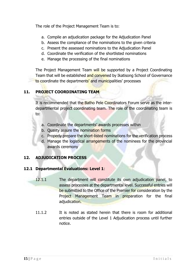The role of the Project Management Team is to:

- a. Compile an adjudication package for the Adjudication Panel
- b. Assess the compliance of the nominations to the given criteria
- c. Present the assessed nominations to the Adjudication Panel
- d. Coordinate the verification of the shortlisted nominations
- e. Manage the processing of the final nominations

The Project Management Team will be supported by a Project Coordinating Team that will be established and convened by Ikatisong School of Governance to coordinate the departments' and municipalities' processes

# **11. PROJECT COORDINATING TEAM**

It is recommended that the Batho Pele Coordinators Forum serve as the interdepartmental project coordinating team. The role of the coordinating team is to:

- a. Coordinate the departments' awards processes within
- b. Quality assure the nomination forms
- c. Properly prepare the short-listed nominations for the verification process
- d. Manage the logistical arrangements of the nominees for the provincial awards ceremony

# **12. ADJUDICATION PROCESS**

### **12.1 Departmental Evaluations: Level 1**:

- 12.1.1 The department will constitute its own adjudication panel, to assess processes at the departmental level. Successful entries will be submitted to the Office of the Premier for consideration by the Project Management Team in preparation for the final adjudication.
- 11.1.2 It is noted as stated herein that there is room for additional entries outside of the Level 1 Adjudication process until further notice.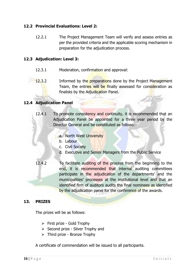### **12.2 Provincial Evaluations: Level 2:**

12.2.1 The Project Management Team will verify and assess entries as per the provided criteria and the applicable scoring mechanism in preparation for the adjudication process.

### **12.3 Adjudication: Level 3:**

- 12.3.1 Moderation, confirmation and approval:
- 12.3.2 Informed by the preparations done by the Project Management Team, the entries will be finally assessed for consideration as finalists by the Adjudication Panel.

### **12.4 Adjudication Panel**

- 12.4.1 To promote consistency and continuity, it is recommended that an Adjudication Panel be appointed for a three year period by the Director General and be constituted as follows:
	- a. North West University
	- b. Labour
	- c. Civil Society
	- d. Executive and Senior Managers from the Public Service
- 12.4.2 To facilitate auditing of the process from the beginning to the end, it is recommended that internal auditing committees participate in the adjudication of the departments' and the municipalities' processes at the institutional level and that an identified firm of auditors audits the final nominees as identified by the adjudication panel for the conference of the awards.

### **13. PRIZES**

The prizes will be as follows:

- First prize Gold Trophy
- $\triangleright$  Second prize Silver Trophy and
- $\triangleright$  Third prize Bronze Trophy

A certificate of commendation will be issued to all participants.